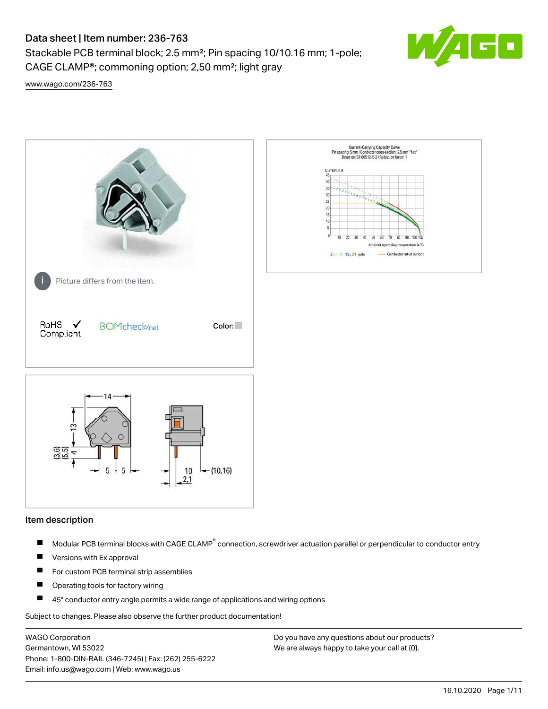Stackable PCB terminal block; 2.5 mm²; Pin spacing 10/10.16 mm; 1-pole; CAGE CLAMP®; commoning option; 2,50 mm²; light gray



[www.wago.com/236-763](http://www.wago.com/236-763)



#### Item description

- Modular PCB terminal blocks with CAGE CLAMP<sup>®</sup> connection, screwdriver actuation parallel or perpendicular to conductor entry П
- $\blacksquare$ Versions with Ex approval
- П For custom PCB terminal strip assemblies
- $\blacksquare$ Operating tools for factory wiring
- $\blacksquare$ 45° conductor entry angle permits a wide range of applications and wiring options

Subject to changes. Please also observe the further product documentation!

WAGO Corporation Germantown, WI 53022 Phone: 1-800-DIN-RAIL (346-7245) | Fax: (262) 255-6222 Email: info.us@wago.com | Web: www.wago.us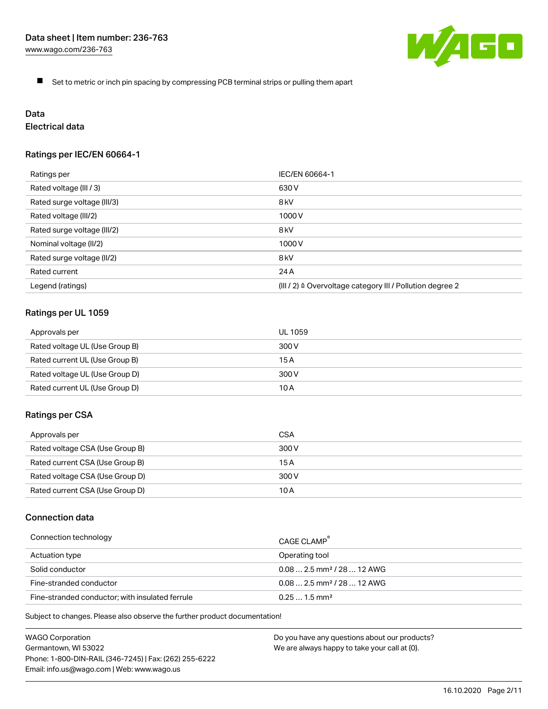

 $\blacksquare$ Set to metric or inch pin spacing by compressing PCB terminal strips or pulling them apart

# Data

# Electrical data

## Ratings per IEC/EN 60664-1

| Ratings per                 | IEC/EN 60664-1                                                        |
|-----------------------------|-----------------------------------------------------------------------|
| Rated voltage (III / 3)     | 630 V                                                                 |
| Rated surge voltage (III/3) | 8 <sub>kV</sub>                                                       |
| Rated voltage (III/2)       | 1000 V                                                                |
| Rated surge voltage (III/2) | 8 <sub>kV</sub>                                                       |
| Nominal voltage (II/2)      | 1000 V                                                                |
| Rated surge voltage (II/2)  | 8 <sub>kV</sub>                                                       |
| Rated current               | 24 A                                                                  |
| Legend (ratings)            | $(III / 2)$ $\triangle$ Overvoltage category III / Pollution degree 2 |

#### Ratings per UL 1059

| Approvals per                  | UL 1059 |
|--------------------------------|---------|
| Rated voltage UL (Use Group B) | 300 V   |
| Rated current UL (Use Group B) | 15 A    |
| Rated voltage UL (Use Group D) | 300 V   |
| Rated current UL (Use Group D) | 10 A    |

#### Ratings per CSA

| Approvals per                   | CSA   |
|---------------------------------|-------|
| Rated voltage CSA (Use Group B) | 300 V |
| Rated current CSA (Use Group B) | 15 A  |
| Rated voltage CSA (Use Group D) | 300 V |
| Rated current CSA (Use Group D) | 10 A  |

#### Connection data

| Connection technology                           | CAGE CLAMP                              |
|-------------------------------------------------|-----------------------------------------|
| Actuation type                                  | Operating tool                          |
| Solid conductor                                 | $0.08$ 2.5 mm <sup>2</sup> / 28  12 AWG |
| Fine-stranded conductor                         | $0.082.5$ mm <sup>2</sup> / 28  12 AWG  |
| Fine-stranded conductor; with insulated ferrule | $0.251.5$ mm <sup>2</sup>               |

Subject to changes. Please also observe the further product documentation!

WAGO Corporation Germantown, WI 53022 Phone: 1-800-DIN-RAIL (346-7245) | Fax: (262) 255-6222 Email: info.us@wago.com | Web: www.wago.us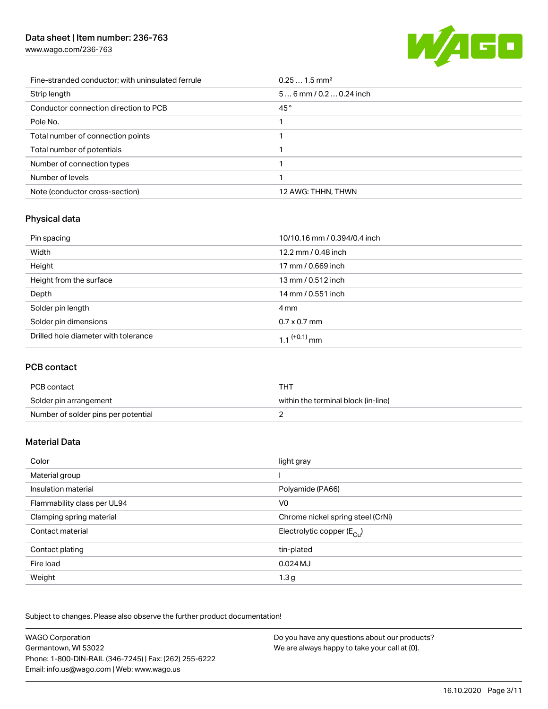[www.wago.com/236-763](http://www.wago.com/236-763)



| Fine-stranded conductor; with uninsulated ferrule | $0.251.5$ mm <sup>2</sup> |
|---------------------------------------------------|---------------------------|
| Strip length                                      | $56$ mm / 0.2  0.24 inch  |
| Conductor connection direction to PCB             | 45°                       |
| Pole No.                                          |                           |
| Total number of connection points                 |                           |
| Total number of potentials                        |                           |
| Number of connection types                        |                           |
| Number of levels                                  |                           |
| Note (conductor cross-section)                    | 12 AWG: THHN, THWN        |

# Physical data

| Pin spacing                          | 10/10.16 mm / 0.394/0.4 inch |
|--------------------------------------|------------------------------|
| Width                                | 12.2 mm / 0.48 inch          |
| Height                               | 17 mm / 0.669 inch           |
| Height from the surface              | 13 mm / 0.512 inch           |
| Depth                                | 14 mm / 0.551 inch           |
| Solder pin length                    | 4 mm                         |
| Solder pin dimensions                | $0.7 \times 0.7$ mm          |
| Drilled hole diameter with tolerance | 1.1 <sup>(+0.1)</sup> mm     |

## PCB contact

| PCB contact                         | THT                                 |
|-------------------------------------|-------------------------------------|
| Solder pin arrangement              | within the terminal block (in-line) |
| Number of solder pins per potential |                                     |

## Material Data

| Color                       | light gray                            |
|-----------------------------|---------------------------------------|
| Material group              |                                       |
| Insulation material         | Polyamide (PA66)                      |
| Flammability class per UL94 | V <sub>0</sub>                        |
| Clamping spring material    | Chrome nickel spring steel (CrNi)     |
| Contact material            | Electrolytic copper $(E_{\text{Cl}})$ |
| Contact plating             | tin-plated                            |
| Fire load                   | $0.024$ MJ                            |
| Weight                      | 1.3 <sub>g</sub>                      |

Subject to changes. Please also observe the further product documentation!

| <b>WAGO Corporation</b>                                | Do you have any questions about our products? |
|--------------------------------------------------------|-----------------------------------------------|
| Germantown, WI 53022                                   | We are always happy to take your call at {0}. |
| Phone: 1-800-DIN-RAIL (346-7245)   Fax: (262) 255-6222 |                                               |
| Email: info.us@wago.com   Web: www.wago.us             |                                               |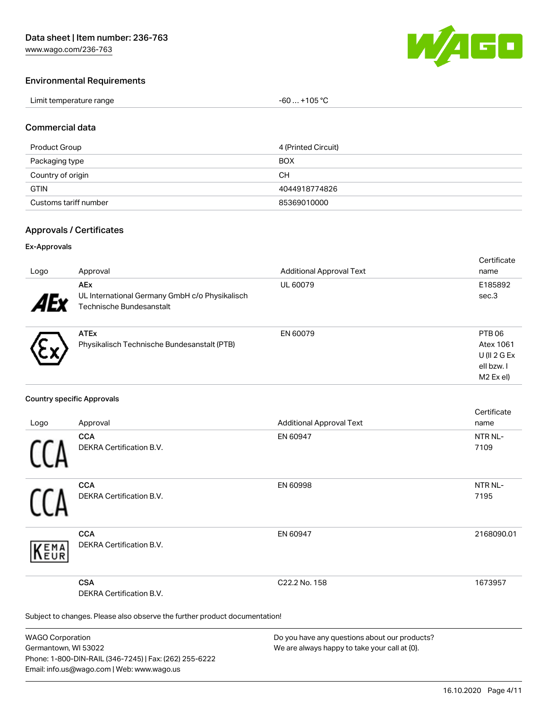

#### Environmental Requirements

| Limit temperature range | $-60+105 °C$ |
|-------------------------|--------------|
|-------------------------|--------------|

#### Commercial data

| Product Group         | 4 (Printed Circuit) |
|-----------------------|---------------------|
| Packaging type        | BOX                 |
| Country of origin     | CН                  |
| <b>GTIN</b>           | 4044918774826       |
| Customs tariff number | 85369010000         |

#### Approvals / Certificates

#### Ex-Approvals

| Logo       | Approval                                                                                 | <b>Additional Approval Text</b> | Certificate<br>name                                                          |
|------------|------------------------------------------------------------------------------------------|---------------------------------|------------------------------------------------------------------------------|
| <b>AEy</b> | <b>AEx</b><br>UL International Germany GmbH c/o Physikalisch<br>Technische Bundesanstalt | UL 60079                        | E185892<br>sec.3                                                             |
|            | <b>ATEx</b><br>Physikalisch Technische Bundesanstalt (PTB)                               | EN 60079                        | PTB 06<br>Atex 1061<br>U (II $2$ G Ex<br>ell bzw. I<br>M <sub>2</sub> Ex el) |

#### Country specific Approvals

|                         |                                                                            |                                               | Certificate |  |
|-------------------------|----------------------------------------------------------------------------|-----------------------------------------------|-------------|--|
| Logo                    | Approval                                                                   | <b>Additional Approval Text</b>               | name        |  |
|                         | <b>CCA</b>                                                                 | EN 60947                                      | NTR NL-     |  |
|                         | <b>DEKRA Certification B.V.</b>                                            |                                               | 7109        |  |
|                         | <b>CCA</b>                                                                 | EN 60998                                      | NTR NL-     |  |
|                         | DEKRA Certification B.V.                                                   |                                               | 7195        |  |
| <b>EMA</b><br>EUR       | <b>CCA</b><br>DEKRA Certification B.V.                                     | EN 60947                                      | 2168090.01  |  |
|                         | <b>CSA</b>                                                                 | C22.2 No. 158                                 | 1673957     |  |
|                         | <b>DEKRA Certification B.V.</b>                                            |                                               |             |  |
|                         | Subject to changes. Please also observe the further product documentation! |                                               |             |  |
| <b>WAGO Corporation</b> |                                                                            | Do you have any questions about our products? |             |  |

WAGO Corporation Germantown, WI 53022 Phone: 1-800-DIN-RAIL (346-7245) | Fax: (262) 255-6222 Email: info.us@wago.com | Web: www.wago.us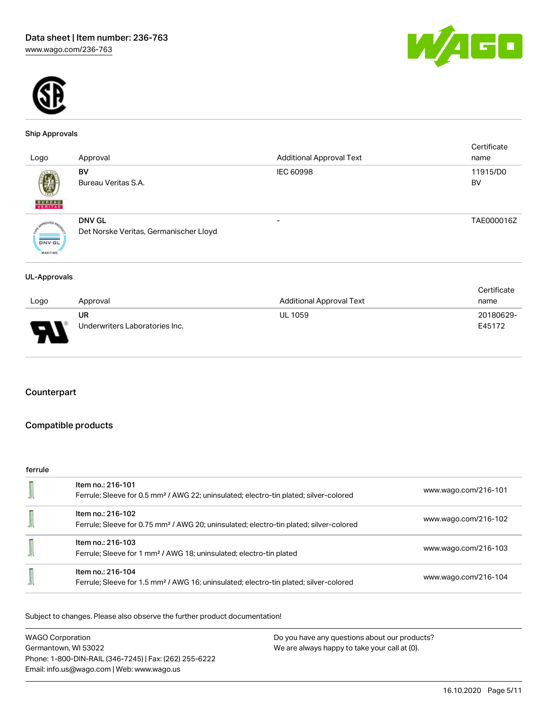



#### Ship Approvals

| Logo                             | Approval                                                | <b>Additional Approval Text</b> | Certificate<br>name |
|----------------------------------|---------------------------------------------------------|---------------------------------|---------------------|
| 彅<br><b>BUREAU</b><br>VERITAS    | BV<br>Bureau Veritas S.A.                               | <b>IEC 60998</b>                | 11915/D0<br>BV      |
| <b>DNV-GL</b><br><b>MARITIME</b> | <b>DNV GL</b><br>Det Norske Veritas, Germanischer Lloyd |                                 | TAE000016Z          |

#### UL-Approvals

|             |                                |                                 | Certificate |
|-------------|--------------------------------|---------------------------------|-------------|
| Logo        | Approval                       | <b>Additional Approval Text</b> | name        |
|             | UR                             | <b>UL 1059</b>                  | 20180629-   |
| $\Box$<br>n | Underwriters Laboratories Inc. |                                 | E45172      |

#### Counterpart

## Compatible products

#### ferrule

| Item no.: 216-101<br>Ferrule; Sleeve for 0.5 mm <sup>2</sup> / AWG 22; uninsulated; electro-tin plated; silver-colored  | www.wago.com/216-101 |
|-------------------------------------------------------------------------------------------------------------------------|----------------------|
| Item no.: 216-102<br>Ferrule; Sleeve for 0.75 mm <sup>2</sup> / AWG 20; uninsulated; electro-tin plated; silver-colored | www.wago.com/216-102 |
| Item no.: 216-103<br>Ferrule; Sleeve for 1 mm <sup>2</sup> / AWG 18; uninsulated; electro-tin plated                    | www.wago.com/216-103 |
| Item no.: 216-104<br>Ferrule; Sleeve for 1.5 mm <sup>2</sup> / AWG 16; uninsulated; electro-tin plated; silver-colored  | www.wago.com/216-104 |
|                                                                                                                         |                      |

Subject to changes. Please also observe the further product documentation!

| <b>WAGO Corporation</b>                                | Do you have any questions about our products? |
|--------------------------------------------------------|-----------------------------------------------|
| Germantown, WI 53022                                   | We are always happy to take your call at {0}. |
| Phone: 1-800-DIN-RAIL (346-7245)   Fax: (262) 255-6222 |                                               |
| Email: info.us@wago.com   Web: www.wago.us             |                                               |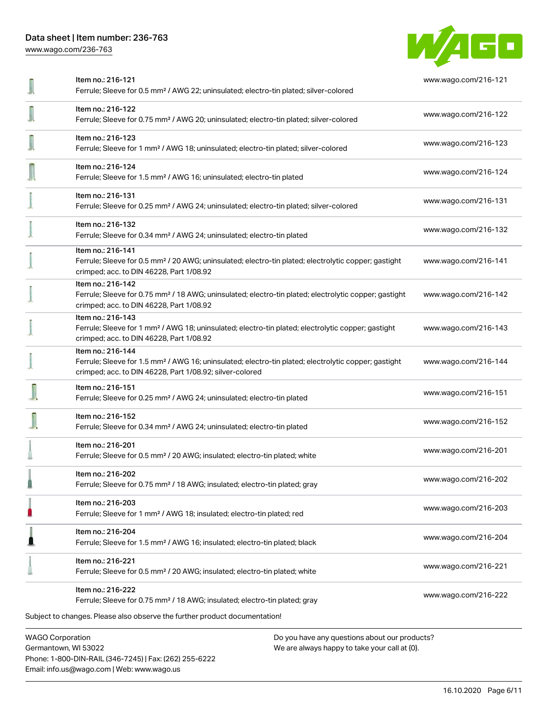[www.wago.com/236-763](http://www.wago.com/236-763)



| Item no.: 216-131<br>Ferrule; Sleeve for 0.25 mm <sup>2</sup> / AWG 24; uninsulated; electro-tin plated; silver-colored                                                                           | www.wago.com/216-131 |
|---------------------------------------------------------------------------------------------------------------------------------------------------------------------------------------------------|----------------------|
| Item no.: 216-132                                                                                                                                                                                 | www.wago.com/216-132 |
| Ferrule; Sleeve for 0.34 mm <sup>2</sup> / AWG 24; uninsulated; electro-tin plated<br>Item no.: 216-141                                                                                           |                      |
| Ferrule; Sleeve for 0.5 mm <sup>2</sup> / 20 AWG; uninsulated; electro-tin plated; electrolytic copper; gastight<br>crimped; acc. to DIN 46228, Part 1/08.92                                      | www.wago.com/216-141 |
| Item no.: 216-142<br>Ferrule; Sleeve for 0.75 mm <sup>2</sup> / 18 AWG; uninsulated; electro-tin plated; electrolytic copper; gastight<br>crimped; acc. to DIN 46228, Part 1/08.92                | www.wago.com/216-142 |
| Item no.: 216-143<br>Ferrule; Sleeve for 1 mm <sup>2</sup> / AWG 18; uninsulated; electro-tin plated; electrolytic copper; gastight<br>crimped; acc. to DIN 46228, Part 1/08.92                   | www.wago.com/216-143 |
| Item no.: 216-144<br>Ferrule; Sleeve for 1.5 mm <sup>2</sup> / AWG 16; uninsulated; electro-tin plated; electrolytic copper; gastight<br>crimped; acc. to DIN 46228, Part 1/08.92; silver-colored | www.wago.com/216-144 |
| Item no.: 216-151<br>Ferrule; Sleeve for 0.25 mm <sup>2</sup> / AWG 24; uninsulated; electro-tin plated                                                                                           | www.wago.com/216-151 |
| Item no.: 216-152<br>Ferrule; Sleeve for 0.34 mm <sup>2</sup> / AWG 24; uninsulated; electro-tin plated                                                                                           | www.wago.com/216-152 |
| Item no.: 216-201<br>Ferrule; Sleeve for 0.5 mm <sup>2</sup> / 20 AWG; insulated; electro-tin plated; white                                                                                       | www.wago.com/216-201 |
| Item no.: 216-202<br>Ferrule; Sleeve for 0.75 mm <sup>2</sup> / 18 AWG; insulated; electro-tin plated; gray                                                                                       | www.wago.com/216-202 |
| Item no.: 216-203<br>Ferrule; Sleeve for 1 mm <sup>2</sup> / AWG 18; insulated; electro-tin plated; red                                                                                           | www.wago.com/216-203 |
| Item no.: 216-204<br>Ferrule; Sleeve for 1.5 mm <sup>2</sup> / AWG 16; insulated; electro-tin plated; black                                                                                       | www.wago.com/216-204 |
| Item no.: 216-221<br>Ferrule; Sleeve for 0.5 mm <sup>2</sup> / 20 AWG; insulated; electro-tin plated; white                                                                                       | www.wago.com/216-221 |
| Item no.: 216-222<br>Ferrule; Sleeve for 0.75 mm <sup>2</sup> / 18 AWG; insulated; electro-tin plated; gray                                                                                       | www.wago.com/216-222 |
| Subject to changes. Please also observe the further product documentation!                                                                                                                        |                      |
| <b>WAGO Corporation</b><br>Do you have any questions about our products?                                                                                                                          |                      |

Germantown, WI 53022 Phone: 1-800-DIN-RAIL (346-7245) | Fax: (262) 255-6222 Email: info.us@wago.com | Web: www.wago.us

We are always happy to take your call at {0}.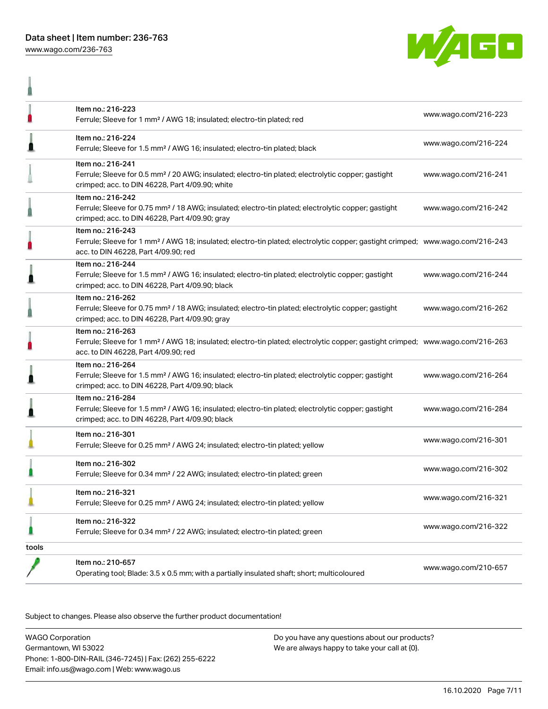

ñ



|       | Item no.: 216-223<br>Ferrule; Sleeve for 1 mm <sup>2</sup> / AWG 18; insulated; electro-tin plated; red                                                                                                 | www.wago.com/216-223 |
|-------|---------------------------------------------------------------------------------------------------------------------------------------------------------------------------------------------------------|----------------------|
| Л     | Item no.: 216-224<br>Ferrule; Sleeve for 1.5 mm <sup>2</sup> / AWG 16; insulated; electro-tin plated; black                                                                                             | www.wago.com/216-224 |
|       | Item no.: 216-241<br>Ferrule; Sleeve for 0.5 mm <sup>2</sup> / 20 AWG; insulated; electro-tin plated; electrolytic copper; gastight<br>crimped; acc. to DIN 46228, Part 4/09.90; white                  | www.wago.com/216-241 |
|       | Item no.: 216-242<br>Ferrule; Sleeve for 0.75 mm <sup>2</sup> / 18 AWG; insulated; electro-tin plated; electrolytic copper; gastight<br>crimped; acc. to DIN 46228, Part 4/09.90; gray                  | www.wago.com/216-242 |
|       | Item no.: 216-243<br>Ferrule; Sleeve for 1 mm <sup>2</sup> / AWG 18; insulated; electro-tin plated; electrolytic copper; gastight crimped; www.wago.com/216-243<br>acc. to DIN 46228, Part 4/09.90; red |                      |
|       | Item no.: 216-244<br>Ferrule; Sleeve for 1.5 mm <sup>2</sup> / AWG 16; insulated; electro-tin plated; electrolytic copper; gastight<br>crimped; acc. to DIN 46228, Part 4/09.90; black                  | www.wago.com/216-244 |
|       | Item no.: 216-262<br>Ferrule; Sleeve for 0.75 mm <sup>2</sup> / 18 AWG; insulated; electro-tin plated; electrolytic copper; gastight<br>crimped; acc. to DIN 46228, Part 4/09.90; gray                  | www.wago.com/216-262 |
|       | Item no.: 216-263<br>Ferrule; Sleeve for 1 mm <sup>2</sup> / AWG 18; insulated; electro-tin plated; electrolytic copper; gastight crimped; www.wago.com/216-263<br>acc. to DIN 46228, Part 4/09.90; red |                      |
|       | Item no.: 216-264<br>Ferrule; Sleeve for 1.5 mm <sup>2</sup> / AWG 16; insulated; electro-tin plated; electrolytic copper; gastight<br>crimped; acc. to DIN 46228, Part 4/09.90; black                  | www.wago.com/216-264 |
|       | Item no.: 216-284<br>Ferrule; Sleeve for 1.5 mm <sup>2</sup> / AWG 16; insulated; electro-tin plated; electrolytic copper; gastight<br>crimped; acc. to DIN 46228, Part 4/09.90; black                  | www.wago.com/216-284 |
|       | Item no.: 216-301<br>Ferrule; Sleeve for 0.25 mm <sup>2</sup> / AWG 24; insulated; electro-tin plated; yellow                                                                                           | www.wago.com/216-301 |
|       | Item no.: 216-302<br>Ferrule; Sleeve for 0.34 mm <sup>2</sup> / 22 AWG; insulated; electro-tin plated; green                                                                                            | www.wago.com/216-302 |
|       | Item no.: 216-321<br>Ferrule; Sleeve for 0.25 mm <sup>2</sup> / AWG 24; insulated; electro-tin plated; yellow                                                                                           | www.wago.com/216-321 |
|       | Item no.: 216-322<br>Ferrule; Sleeve for 0.34 mm <sup>2</sup> / 22 AWG; insulated; electro-tin plated; green                                                                                            | www.wago.com/216-322 |
| tools |                                                                                                                                                                                                         |                      |
|       | Item no.: 210-657<br>Operating tool; Blade: 3.5 x 0.5 mm; with a partially insulated shaft; short; multicoloured                                                                                        | www.wago.com/210-657 |

Subject to changes. Please also observe the further product documentation!

WAGO Corporation Germantown, WI 53022 Phone: 1-800-DIN-RAIL (346-7245) | Fax: (262) 255-6222 Email: info.us@wago.com | Web: www.wago.us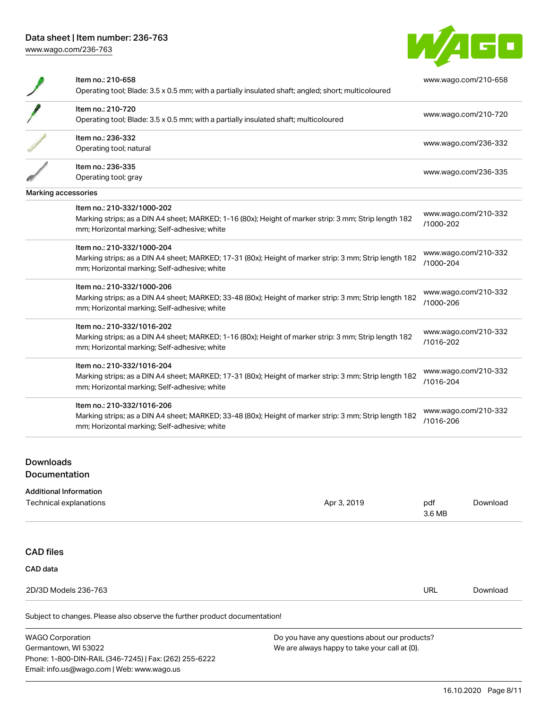

| Item no.: 210-658<br>Operating tool; Blade: 3.5 x 0.5 mm; with a partially insulated shaft; angled; short; multicoloured                                                             | www.wago.com/210-658              |
|--------------------------------------------------------------------------------------------------------------------------------------------------------------------------------------|-----------------------------------|
| Item no.: 210-720<br>Operating tool; Blade: 3.5 x 0.5 mm; with a partially insulated shaft; multicoloured                                                                            | www.wago.com/210-720              |
| Item no.: 236-332<br>Operating tool; natural                                                                                                                                         | www.wago.com/236-332              |
| Item no.: 236-335<br>Operating tool; gray                                                                                                                                            | www.wago.com/236-335              |
| Marking accessories                                                                                                                                                                  |                                   |
| Item no.: 210-332/1000-202<br>Marking strips; as a DIN A4 sheet; MARKED; 1-16 (80x); Height of marker strip: 3 mm; Strip length 182<br>mm; Horizontal marking; Self-adhesive; white  | www.wago.com/210-332<br>/1000-202 |
| Item no.: 210-332/1000-204<br>Marking strips; as a DIN A4 sheet; MARKED; 17-31 (80x); Height of marker strip: 3 mm; Strip length 182<br>mm; Horizontal marking; Self-adhesive; white | www.wago.com/210-332<br>/1000-204 |
| Item no.: 210-332/1000-206<br>Marking strips; as a DIN A4 sheet; MARKED; 33-48 (80x); Height of marker strip: 3 mm; Strip length 182<br>mm; Horizontal marking; Self-adhesive; white | www.wago.com/210-332<br>/1000-206 |
| Item no.: 210-332/1016-202<br>Marking strips; as a DIN A4 sheet; MARKED; 1-16 (80x); Height of marker strip: 3 mm; Strip length 182<br>mm; Horizontal marking; Self-adhesive; white  | www.wago.com/210-332<br>/1016-202 |
| Item no.: 210-332/1016-204<br>Marking strips; as a DIN A4 sheet; MARKED; 17-31 (80x); Height of marker strip: 3 mm; Strip length 182<br>mm; Horizontal marking; Self-adhesive; white | www.wago.com/210-332<br>/1016-204 |
| Item no.: 210-332/1016-206<br>Marking strips; as a DIN A4 sheet; MARKED; 33-48 (80x); Height of marker strip: 3 mm; Strip length 182<br>mm; Horizontal marking; Self-adhesive; white | www.wago.com/210-332<br>/1016-206 |
|                                                                                                                                                                                      |                                   |

Downloads

#### Documentation

| <b>Additional Information</b> |
|-------------------------------|
|                               |

| Apr 3, 2019 | pdf        | Download |
|-------------|------------|----------|
|             |            |          |
|             |            |          |
|             |            |          |
|             |            |          |
|             | <b>URL</b> | Download |
|             |            |          |
|             |            | 3.6 MB   |

WAGO Corporation Germantown, WI 53022 Phone: 1-800-DIN-RAIL (346-7245) | Fax: (262) 255-6222 Email: info.us@wago.com | Web: www.wago.us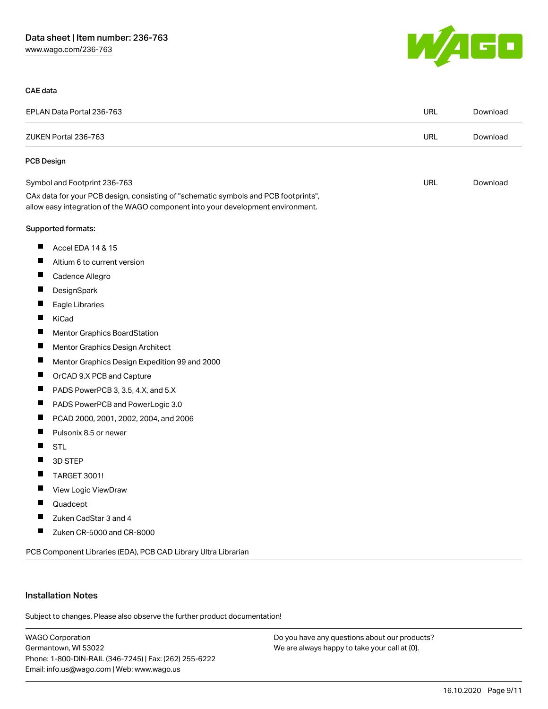

#### CAE data

|   | EPLAN Data Portal 236-763                                                                                                                                              | <b>URL</b> | Download |
|---|------------------------------------------------------------------------------------------------------------------------------------------------------------------------|------------|----------|
|   | ZUKEN Portal 236-763                                                                                                                                                   | <b>URL</b> | Download |
|   | <b>PCB Design</b>                                                                                                                                                      |            |          |
|   | Symbol and Footprint 236-763                                                                                                                                           | <b>URL</b> | Download |
|   | CAx data for your PCB design, consisting of "schematic symbols and PCB footprints",<br>allow easy integration of the WAGO component into your development environment. |            |          |
|   | Supported formats:                                                                                                                                                     |            |          |
| ш | Accel EDA 14 & 15                                                                                                                                                      |            |          |
| П | Altium 6 to current version                                                                                                                                            |            |          |
|   | Cadence Allegro                                                                                                                                                        |            |          |
| Ш | DesignSpark                                                                                                                                                            |            |          |
| ш | Eagle Libraries                                                                                                                                                        |            |          |
| ш | KiCad                                                                                                                                                                  |            |          |
| П | <b>Mentor Graphics BoardStation</b>                                                                                                                                    |            |          |
| H | Mentor Graphics Design Architect                                                                                                                                       |            |          |
| ш | Mentor Graphics Design Expedition 99 and 2000                                                                                                                          |            |          |
| ш | OrCAD 9.X PCB and Capture                                                                                                                                              |            |          |
| H | PADS PowerPCB 3, 3.5, 4.X, and 5.X                                                                                                                                     |            |          |
| ш | PADS PowerPCB and PowerLogic 3.0                                                                                                                                       |            |          |
| ш | PCAD 2000, 2001, 2002, 2004, and 2006                                                                                                                                  |            |          |
| Ш | Pulsonix 8.5 or newer                                                                                                                                                  |            |          |
| H | <b>STL</b>                                                                                                                                                             |            |          |
| H | 3D STEP                                                                                                                                                                |            |          |
| ш | TARGET 3001!                                                                                                                                                           |            |          |
| ш | View Logic ViewDraw                                                                                                                                                    |            |          |
|   | Quadcept                                                                                                                                                               |            |          |
|   | Zuken CadStar 3 and 4                                                                                                                                                  |            |          |
| ш | Zuken CR-5000 and CR-8000                                                                                                                                              |            |          |

PCB Component Libraries (EDA), PCB CAD Library Ultra Librarian

#### Installation Notes

Subject to changes. Please also observe the further product documentation!

WAGO Corporation Germantown, WI 53022 Phone: 1-800-DIN-RAIL (346-7245) | Fax: (262) 255-6222 Email: info.us@wago.com | Web: www.wago.us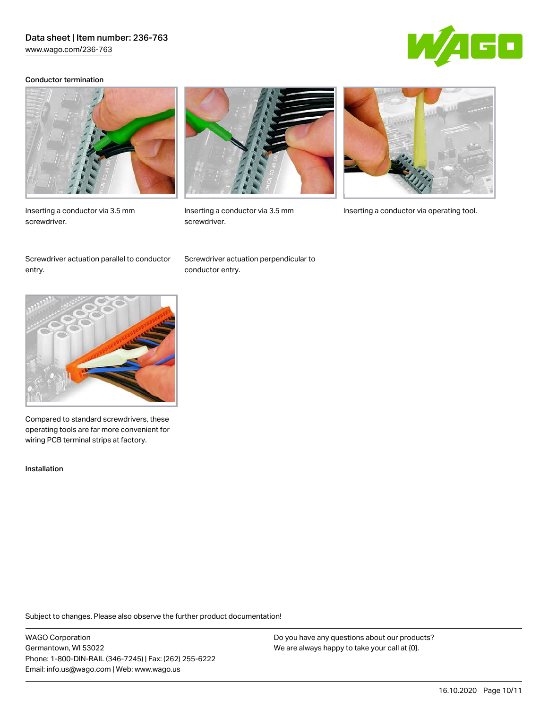[www.wago.com/236-763](http://www.wago.com/236-763)

# Ö

#### Conductor termination



Inserting a conductor via 3.5 mm screwdriver.



screwdriver.



Inserting a conductor via 3.5 mm Inserting a conductor via operating tool.

Screwdriver actuation parallel to conductor entry.

Screwdriver actuation perpendicular to conductor entry.



Compared to standard screwdrivers, these operating tools are far more convenient for wiring PCB terminal strips at factory.

Installation

Subject to changes. Please also observe the further product documentation!

WAGO Corporation Germantown, WI 53022 Phone: 1-800-DIN-RAIL (346-7245) | Fax: (262) 255-6222 Email: info.us@wago.com | Web: www.wago.us